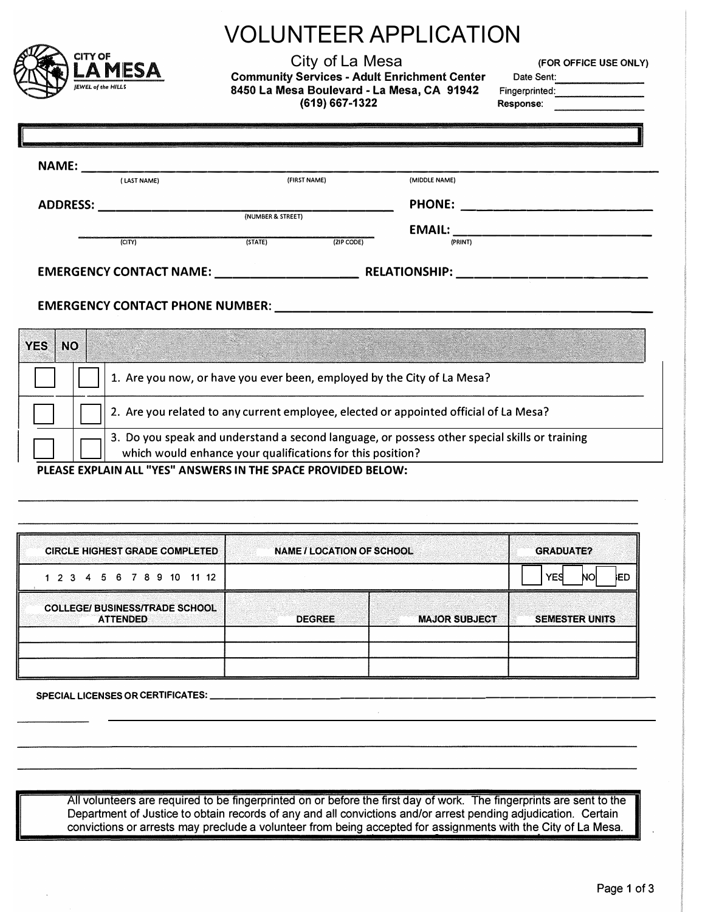|                            |                                                                                                                                                             |                | VOLUNTEER APPLICATION                                                                                           |                                                     |                                                                                                        |  |
|----------------------------|-------------------------------------------------------------------------------------------------------------------------------------------------------------|----------------|-----------------------------------------------------------------------------------------------------------------|-----------------------------------------------------|--------------------------------------------------------------------------------------------------------|--|
|                            | <b>CITY OF</b><br><b>IEWEL of the HILLS</b>                                                                                                                 | <b>_A MESA</b> | City of La Mesa<br>8450 La Mesa Boulevard - La Mesa, CA 91942<br>(619) 667-1322                                 | <b>Community Services - Adult Enrichment Center</b> | (FOR OFFICE USE ONLY)<br>Date Sent:<br>Fingerprinted: <b>Container and September 2016</b><br>Response: |  |
|                            |                                                                                                                                                             |                |                                                                                                                 |                                                     |                                                                                                        |  |
|                            |                                                                                                                                                             | (LAST NAME)    | (FIRST NAME)                                                                                                    | (MIDDLE NAME)                                       |                                                                                                        |  |
| ADDRESS: (NUMBER & STREET) |                                                                                                                                                             |                |                                                                                                                 |                                                     |                                                                                                        |  |
|                            |                                                                                                                                                             |                |                                                                                                                 | EMAIL: EMAIL:                                       |                                                                                                        |  |
|                            |                                                                                                                                                             | (CITY)         | (TATE)<br>(ZIP CODE)                                                                                            | (PRINT)                                             |                                                                                                        |  |
|                            |                                                                                                                                                             |                |                                                                                                                 |                                                     |                                                                                                        |  |
|                            |                                                                                                                                                             |                |                                                                                                                 |                                                     |                                                                                                        |  |
|                            |                                                                                                                                                             |                | EMERGENCY CONTACT PHONE NUMBER: NAMEL AND RESIDENCE IN A SERIES OF THE SERIES OF THE SERIES OF THE STATE OF THE |                                                     |                                                                                                        |  |
|                            |                                                                                                                                                             |                |                                                                                                                 |                                                     |                                                                                                        |  |
| <b>YES</b>                 | <b>NO</b>                                                                                                                                                   |                |                                                                                                                 |                                                     |                                                                                                        |  |
|                            |                                                                                                                                                             |                | 1. Are you now, or have you ever been, employed by the City of La Mesa?                                         |                                                     |                                                                                                        |  |
|                            | 2. Are you related to any current employee, elected or appointed official of La Mesa?                                                                       |                |                                                                                                                 |                                                     |                                                                                                        |  |
|                            | 3. Do you speak and understand a second language, or possess other special skills or training<br>which would enhance your qualifications for this position? |                |                                                                                                                 |                                                     |                                                                                                        |  |
|                            |                                                                                                                                                             |                | PLEASE EXPLAIN ALL "YES" ANSWERS IN THE SPACE PROVIDED BELOW:                                                   |                                                     |                                                                                                        |  |
|                            |                                                                                                                                                             |                |                                                                                                                 |                                                     |                                                                                                        |  |
|                            |                                                                                                                                                             |                |                                                                                                                 |                                                     |                                                                                                        |  |
|                            |                                                                                                                                                             |                |                                                                                                                 |                                                     |                                                                                                        |  |

| <b>CIRCLE HIGHEST GRADE COMPLETED</b>                    | <b>NAME / LOCATION OF SCHOOL</b> |                      | <b>GRADUATE?</b>        |  |
|----------------------------------------------------------|----------------------------------|----------------------|-------------------------|--|
| 1 2 3 4 5 6 7 8 9 10 11 12                               |                                  |                      | <b>YES</b><br>ied<br>NO |  |
| <b>COLLEGE/ BUSINESS/TRADE SCHOOL</b><br><b>ATTENDED</b> | <b>DEGREE</b>                    | <b>MAJOR SUBJECT</b> | <b>SEMESTER UNITS</b>   |  |
|                                                          |                                  |                      |                         |  |

**SPECIAL LICENSES OR CERTIFICATES: \_\_\_\_\_\_\_\_\_\_\_\_\_\_\_\_\_\_\_\_\_\_\_\_\_\_\_\_\_\_ \_** 

All volunteers are required to be fingerprinted on or before the first day of work. The fingerprints are sent to the Department of Justice to obtain records of any and all convictions and/or arrest pending adjudication. Certain convictions or arrests may preclude a volunteer from being accepted for assignments with the City of La Mesa.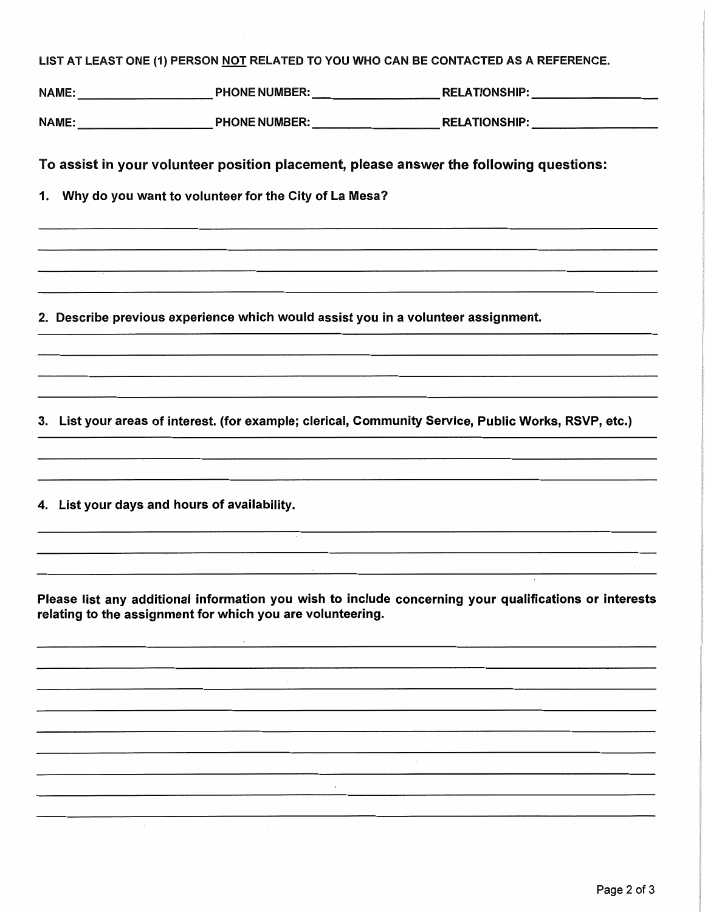|  |  | LIST AT LEAST ONE (1) PERSON <u>NOT</u> RELATED TO YOU WHO CAN BE CONTACTED AS A REFERENCE. |
|--|--|---------------------------------------------------------------------------------------------|
|--|--|---------------------------------------------------------------------------------------------|

To assist in your volunteer position placement, please answer the following questions:

Why do you want to volunteer for the City of La Mesa? 1.

2. Describe previous experience which would assist you in a volunteer assignment.

3. List your areas of interest. (for example; clerical, Community Service, Public Works, RSVP, etc.)

4. List your days and hours of availability.

and the control of the con-

Please list any additional information you wish to include concerning your qualifications or interests relating to the assignment for which you are volunteering.

 $\sim$   $\sim$